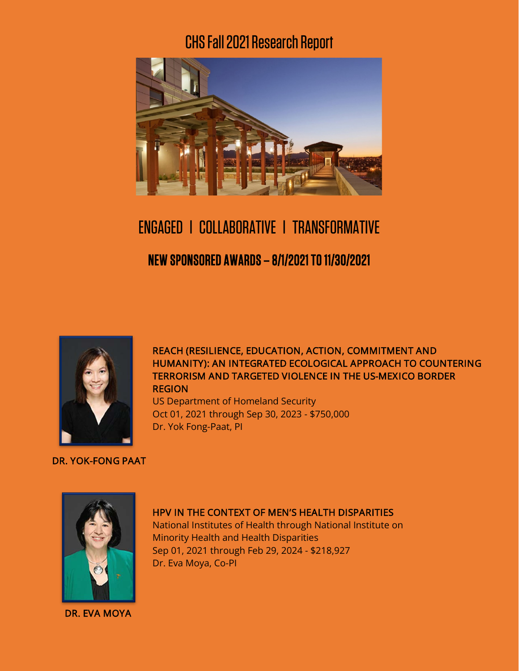## CHS Fall2021Research Report



# ENGAGED l COLLABORATIVE l TRANSFORMATIVE NEW SPONSORED AWARDS – 8/1/2021 TO 11/30/2021



DR. YOK-FONG PAAT

### REACH (RESILIENCE, EDUCATION, ACTION, COMMITMENT AND HUMANITY): AN INTEGRATED ECOLOGICAL APPROACH TO COUNTERING TERRORISM AND TARGETED VIOLENCE IN THE US-MEXICO BORDER REGION

US Department of Homeland Security Oct 01, 2021 through Sep 30, 2023 - \$750,000 Dr. Yok Fong-Paat, PI

DR. EVA MOYA

### HPV IN THE CONTEXT OF MEN'S HEALTH DISPARITIES

National Institutes of Health through National Institute on Minority Health and Health Disparities Sep 01, 2021 through Feb 29, 2024 - \$218,927 Dr. Eva Moya, Co-PI